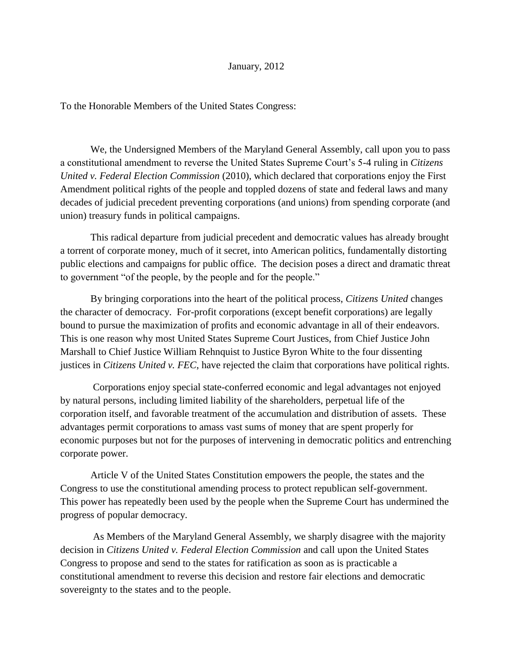## January, 2012

To the Honorable Members of the United States Congress:

We, the Undersigned Members of the Maryland General Assembly, call upon you to pass a constitutional amendment to reverse the United States Supreme Court's 5-4 ruling in *Citizens United v. Federal Election Commission* (2010), which declared that corporations enjoy the First Amendment political rights of the people and toppled dozens of state and federal laws and many decades of judicial precedent preventing corporations (and unions) from spending corporate (and union) treasury funds in political campaigns.

This radical departure from judicial precedent and democratic values has already brought a torrent of corporate money, much of it secret, into American politics, fundamentally distorting public elections and campaigns for public office. The decision poses a direct and dramatic threat to government "of the people, by the people and for the people."

By bringing corporations into the heart of the political process, *Citizens United* changes the character of democracy. For-profit corporations (except benefit corporations) are legally bound to pursue the maximization of profits and economic advantage in all of their endeavors. This is one reason why most United States Supreme Court Justices, from Chief Justice John Marshall to Chief Justice William Rehnquist to Justice Byron White to the four dissenting justices in *Citizens United v. FEC*, have rejected the claim that corporations have political rights.

Corporations enjoy special state-conferred economic and legal advantages not enjoyed by natural persons, including limited liability of the shareholders, perpetual life of the corporation itself, and favorable treatment of the accumulation and distribution of assets. These advantages permit corporations to amass vast sums of money that are spent properly for economic purposes but not for the purposes of intervening in democratic politics and entrenching corporate power.

Article V of the United States Constitution empowers the people, the states and the Congress to use the constitutional amending process to protect republican self-government. This power has repeatedly been used by the people when the Supreme Court has undermined the progress of popular democracy.

As Members of the Maryland General Assembly, we sharply disagree with the majority decision in *Citizens United v. Federal Election Commission* and call upon the United States Congress to propose and send to the states for ratification as soon as is practicable a constitutional amendment to reverse this decision and restore fair elections and democratic sovereignty to the states and to the people.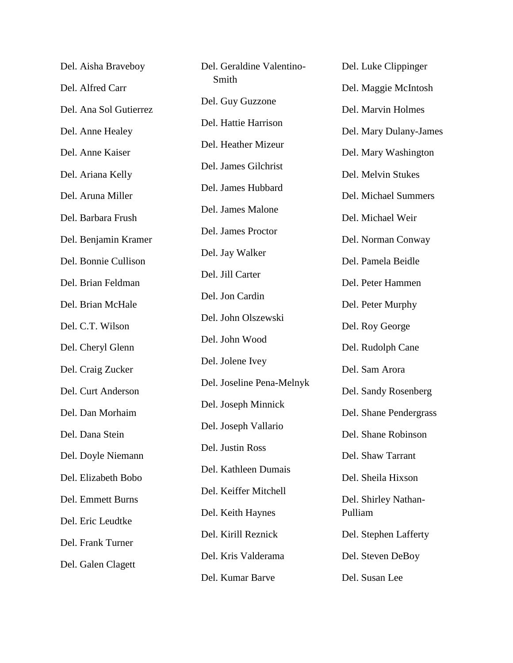| Del. Aisha Braveboy    | Del. Geraldine Valentino- | Del. Luke Clippinger            |
|------------------------|---------------------------|---------------------------------|
| Del. Alfred Carr       | Smith                     | Del. Maggie McIntosh            |
| Del. Ana Sol Gutierrez | Del. Guy Guzzone          | Del. Marvin Holmes              |
| Del. Anne Healey       | Del. Hattie Harrison      | Del. Mary Dulany-James          |
| Del. Anne Kaiser       | Del. Heather Mizeur       | Del. Mary Washington            |
| Del. Ariana Kelly      | Del. James Gilchrist      | Del. Melvin Stukes              |
| Del. Aruna Miller      | Del. James Hubbard        | Del. Michael Summers            |
| Del. Barbara Frush     | Del. James Malone         | Del. Michael Weir               |
| Del. Benjamin Kramer   | Del. James Proctor        | Del. Norman Conway              |
| Del. Bonnie Cullison   | Del. Jay Walker           | Del. Pamela Beidle              |
| Del. Brian Feldman     | Del. Jill Carter          | Del. Peter Hammen               |
| Del. Brian McHale      | Del. Jon Cardin           | Del. Peter Murphy               |
| Del. C.T. Wilson       | Del. John Olszewski       | Del. Roy George                 |
| Del. Cheryl Glenn      | Del. John Wood            | Del. Rudolph Cane               |
| Del. Craig Zucker      | Del. Jolene Ivey          | Del. Sam Arora                  |
| Del. Curt Anderson     | Del. Joseline Pena-Melnyk | Del. Sandy Rosenberg            |
| Del. Dan Morhaim       | Del. Joseph Minnick       |                                 |
|                        | Del. Joseph Vallario      | Del. Shane Pendergrass          |
| Del. Dana Stein        | Del. Justin Ross          | Del. Shane Robinson             |
| Del. Doyle Niemann     | Del. Kathleen Dumais      | Del. Shaw Tarrant               |
| Del. Elizabeth Bobo    | Del. Keiffer Mitchell     | Del. Sheila Hixson              |
| Del. Emmett Burns      | Del. Keith Haynes         | Del. Shirley Nathan-<br>Pulliam |
| Del. Eric Leudtke      | Del. Kirill Reznick       | Del. Stephen Lafferty           |
| Del. Frank Turner      | Del. Kris Valderama       | Del. Steven DeBoy               |
| Del. Galen Clagett     | Del. Kumar Barve          | Del. Susan Lee                  |